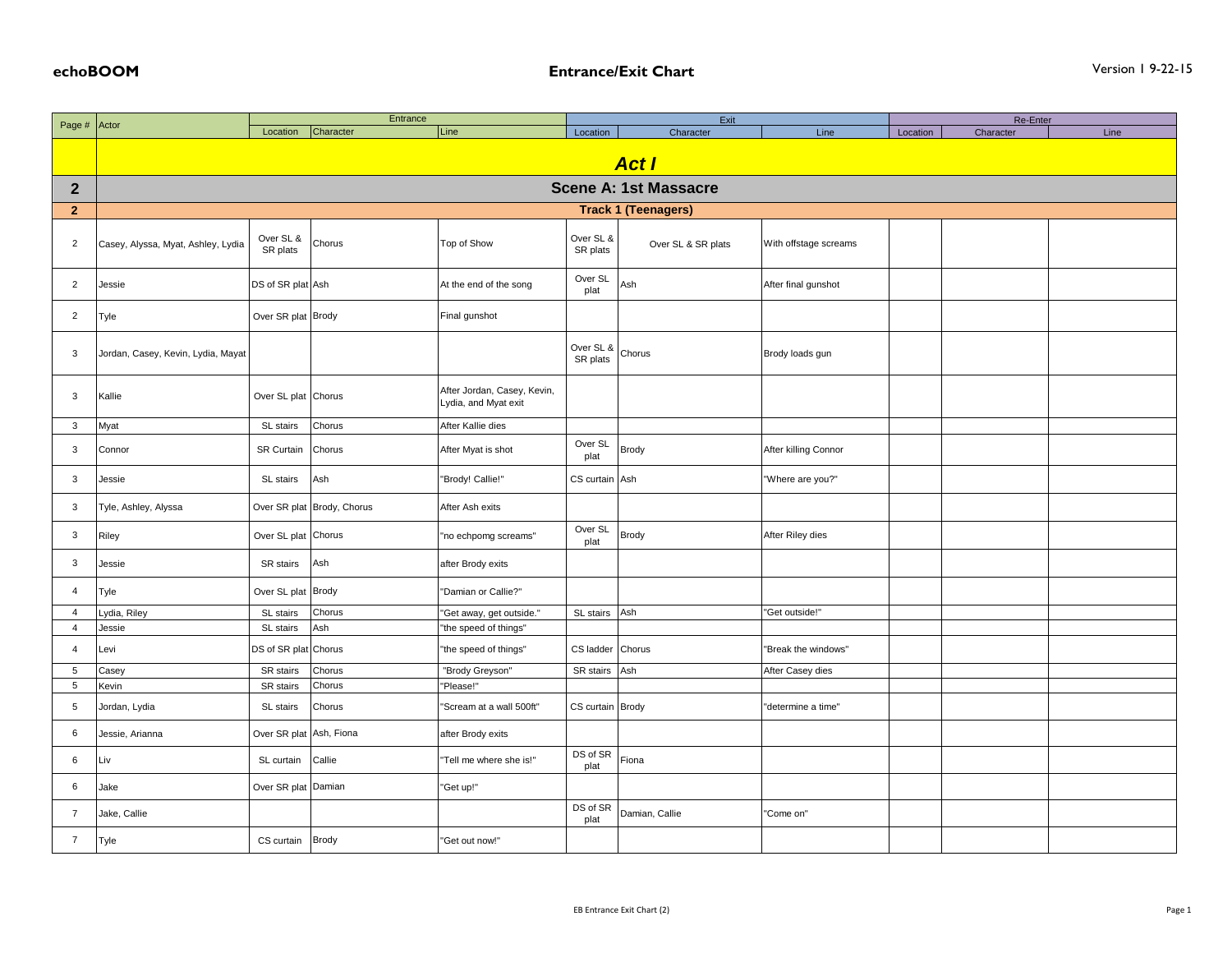|                | Page # Actor                       | Entrance              |                            |                                                     | Exit                  |                    |                       | Re-Enter |           |      |  |  |
|----------------|------------------------------------|-----------------------|----------------------------|-----------------------------------------------------|-----------------------|--------------------|-----------------------|----------|-----------|------|--|--|
|                |                                    | Location              | Character                  | Line                                                | Location              | Character          | Line                  | Location | Character | Line |  |  |
|                | <b>Act I</b>                       |                       |                            |                                                     |                       |                    |                       |          |           |      |  |  |
| $\mathbf{2}$   | <b>Scene A: 1st Massacre</b>       |                       |                            |                                                     |                       |                    |                       |          |           |      |  |  |
| $\mathbf{2}$   | <b>Track 1 (Teenagers)</b>         |                       |                            |                                                     |                       |                    |                       |          |           |      |  |  |
|                |                                    |                       |                            |                                                     |                       |                    |                       |          |           |      |  |  |
| $\overline{2}$ | Casey, Alyssa, Myat, Ashley, Lydia | Over SL &<br>SR plats | Chorus                     | Top of Show                                         | Over SL &<br>SR plats | Over SL & SR plats | With offstage screams |          |           |      |  |  |
| $\overline{2}$ | Jessie                             | DS of SR plat Ash     |                            | At the end of the song                              | Over SL<br>plat       | Ash                | After final gunshot   |          |           |      |  |  |
| $\overline{2}$ | Tyle                               | Over SR plat Brody    |                            | Final gunshot                                       |                       |                    |                       |          |           |      |  |  |
| 3              | Jordan, Casey, Kevin, Lydia, Mayat |                       |                            |                                                     | Over SL &<br>SR plats | Chorus             | Brody loads gun       |          |           |      |  |  |
| $\mathbf{3}$   | Kallie                             | Over SL plat Chorus   |                            | After Jordan, Casey, Kevin,<br>Lydia, and Myat exit |                       |                    |                       |          |           |      |  |  |
| $\mathbf{3}$   | Myat                               | SL stairs             | Chorus                     | After Kallie dies                                   |                       |                    |                       |          |           |      |  |  |
| 3              | Connor                             | SR Curtain            | Chorus                     | After Myat is shot                                  | Over SL<br>plat       | <b>Brody</b>       | After killing Connor  |          |           |      |  |  |
| 3              | Jessie                             | SL stairs             | Ash                        | "Brody! Callie!"                                    | CS curtain Ash        |                    | "Where are you?"      |          |           |      |  |  |
| $\mathbf{3}$   | Tyle, Ashley, Alyssa               |                       | Over SR plat Brody, Chorus | After Ash exits                                     |                       |                    |                       |          |           |      |  |  |
| $\mathbf{3}$   | Riley                              | Over SL plat Chorus   |                            | "no echpomg screams"                                | Over SL<br>plat       | <b>Brody</b>       | After Riley dies      |          |           |      |  |  |
| $\mathbf{3}$   | Jessie                             | SR stairs             | Ash                        | after Brody exits                                   |                       |                    |                       |          |           |      |  |  |
| $\overline{4}$ | Tyle                               | Over SL plat Brody    |                            | "Damian or Callie?"                                 |                       |                    |                       |          |           |      |  |  |
| $\overline{4}$ | ydia, Riley                        | SL stairs             | Chorus                     | "Get away, get outside."                            | SL stairs             | Ash                | "Get outside!"        |          |           |      |  |  |
| $\overline{4}$ | Jessie                             | SL stairs             | Ash                        | "the speed of things"                               |                       |                    |                       |          |           |      |  |  |
| $\overline{4}$ | Levi                               | DS of SR plat Chorus  |                            | "the speed of things"                               | CS ladder             | Chorus             | "Break the windows"   |          |           |      |  |  |
| 5              | Casey                              | SR stairs             | Chorus                     | "Brody Greyson"                                     | SR stairs             | Ash                | After Casey dies      |          |           |      |  |  |
| 5              | Kevin                              | SR stairs             | Chorus                     | "Please!"                                           |                       |                    |                       |          |           |      |  |  |
| 5              | Jordan, Lydia                      | SL stairs             | Chorus                     | 'Scream at a wall 500ft"                            | CS curtain Brody      |                    | "determine a time"    |          |           |      |  |  |
| 6              | Jessie, Arianna                    | Over SR plat          | Ash, Fiona                 | after Brody exits                                   |                       |                    |                       |          |           |      |  |  |
| 6              | Liv                                | SL curtain            | Callie                     | "Tell me where she is!"                             | DS of SR<br>plat      | Fiona              |                       |          |           |      |  |  |
| 6              | Jake                               | Over SR plat Damian   |                            | "Get up!"                                           |                       |                    |                       |          |           |      |  |  |
| $\overline{7}$ | Jake, Callie                       |                       |                            |                                                     | DS of SR<br>plat      | Damian, Callie     | "Come on"             |          |           |      |  |  |
| $\overline{7}$ | Tyle                               | CS curtain            | Brody                      | "Get out now!"                                      |                       |                    |                       |          |           |      |  |  |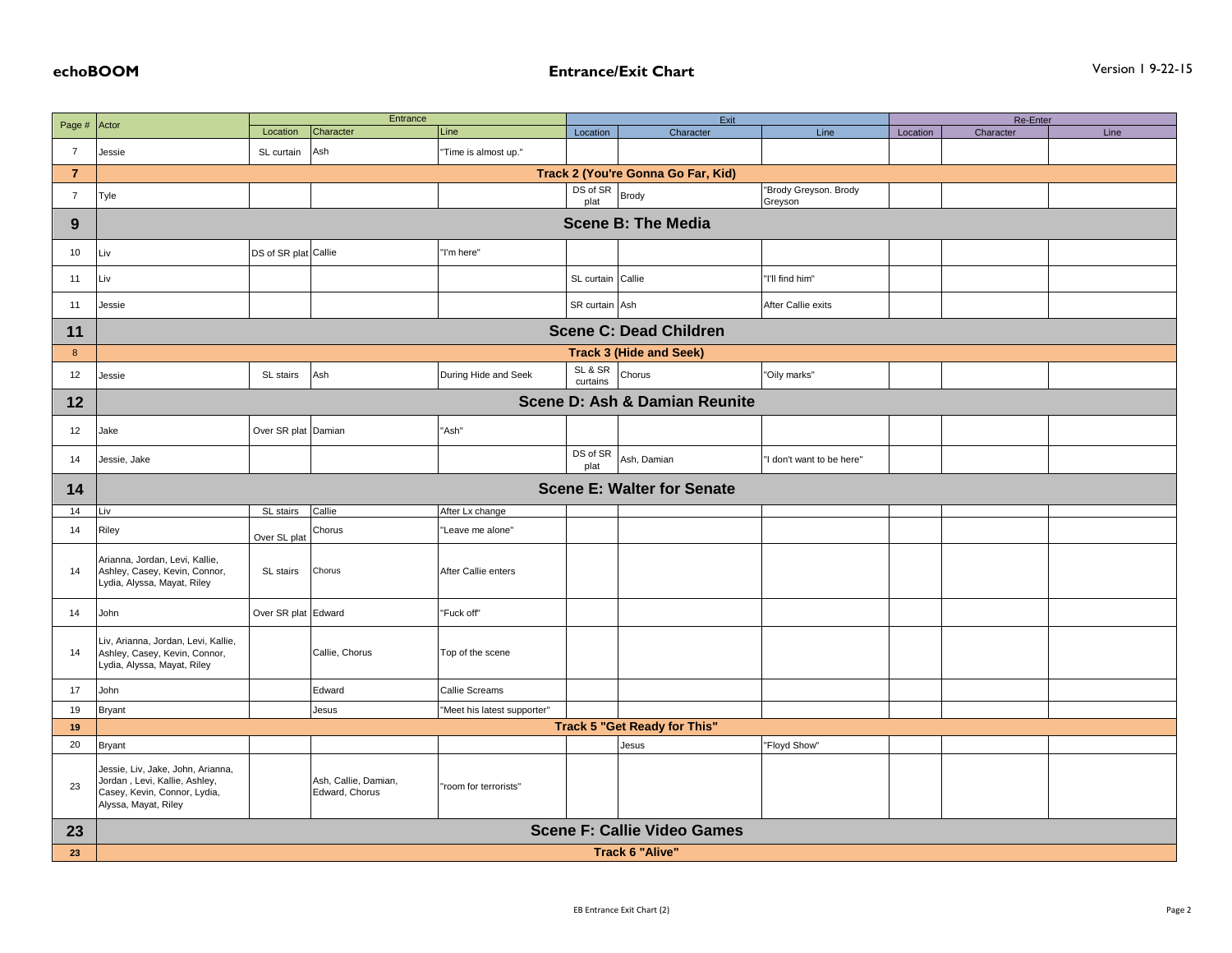|                  | Entrance<br>Actor                                                                                                          |                                     |                                        | Exit                        |                     |                                    |                                  | Re-Enter |           |      |  |
|------------------|----------------------------------------------------------------------------------------------------------------------------|-------------------------------------|----------------------------------------|-----------------------------|---------------------|------------------------------------|----------------------------------|----------|-----------|------|--|
| Page #           |                                                                                                                            | Location                            | Character                              | Line                        | Location            | Character                          | Line                             | Location | Character | Line |  |
| $\overline{7}$   | Jessie                                                                                                                     | SL curtain                          | Ash                                    | "Time is almost up."        |                     |                                    |                                  |          |           |      |  |
| $\bf 7$          | Track 2 (You're Gonna Go Far, Kid)                                                                                         |                                     |                                        |                             |                     |                                    |                                  |          |           |      |  |
| $\overline{7}$   | Tyle                                                                                                                       |                                     |                                        |                             | DS of SR<br>plat    | <b>Brody</b>                       | "Brody Greyson. Brody<br>Greyson |          |           |      |  |
| 9                | <b>Scene B: The Media</b>                                                                                                  |                                     |                                        |                             |                     |                                    |                                  |          |           |      |  |
| 10               | Liv                                                                                                                        | DS of SR plat Callie                |                                        | "I'm here"                  |                     |                                    |                                  |          |           |      |  |
| 11               | Liv                                                                                                                        |                                     |                                        |                             | SL curtain Callie   |                                    | "I'll find him"                  |          |           |      |  |
| 11               | Jessie                                                                                                                     |                                     |                                        |                             | SR curtain Ash      |                                    | After Callie exits               |          |           |      |  |
| 11               | <b>Scene C: Dead Children</b>                                                                                              |                                     |                                        |                             |                     |                                    |                                  |          |           |      |  |
| $\boldsymbol{8}$ |                                                                                                                            |                                     |                                        |                             |                     | <b>Track 3 (Hide and Seek)</b>     |                                  |          |           |      |  |
| 12               | Jessie                                                                                                                     | SL stairs                           | Ash                                    | During Hide and Seek        | SL & SR<br>curtains | Chorus                             | 'Oily marks"                     |          |           |      |  |
| 12               |                                                                                                                            |                                     |                                        |                             |                     | Scene D: Ash & Damian Reunite      |                                  |          |           |      |  |
| 12               | Jake                                                                                                                       | Over SR plat Damian                 |                                        | "Ash"                       |                     |                                    |                                  |          |           |      |  |
| 14               | Jessie, Jake                                                                                                               |                                     |                                        |                             | DS of SR<br>plat    | Ash, Damian                        | "I don't want to be here"        |          |           |      |  |
| 14               |                                                                                                                            |                                     |                                        |                             |                     | <b>Scene E: Walter for Senate</b>  |                                  |          |           |      |  |
| 14               | Liv                                                                                                                        | SL stairs                           | Callie                                 | After Lx change             |                     |                                    |                                  |          |           |      |  |
| 14               | Riley                                                                                                                      | Over SL plat                        | Chorus                                 | "Leave me alone"            |                     |                                    |                                  |          |           |      |  |
| 14               | Arianna, Jordan, Levi, Kallie,<br>Ashley, Casey, Kevin, Connor,<br>Lydia, Alyssa, Mayat, Riley                             | SL stairs                           | Chorus                                 | After Callie enters         |                     |                                    |                                  |          |           |      |  |
| 14               | John                                                                                                                       | Over SR plat Edward                 |                                        | "Fuck off"                  |                     |                                    |                                  |          |           |      |  |
| 14               | Liv, Arianna, Jordan, Levi, Kallie,<br>Ashley, Casey, Kevin, Connor,<br>Lydia, Alyssa, Mayat, Riley                        |                                     | Callie, Chorus                         | Top of the scene            |                     |                                    |                                  |          |           |      |  |
| 17               | John                                                                                                                       |                                     | Edward                                 | Callie Screams              |                     |                                    |                                  |          |           |      |  |
| 19               | <b>Bryant</b>                                                                                                              |                                     | Jesus                                  | "Meet his latest supporter" |                     |                                    |                                  |          |           |      |  |
| 19               |                                                                                                                            | <b>Track 5 "Get Ready for This"</b> |                                        |                             |                     |                                    |                                  |          |           |      |  |
| 20               | <b>Bryant</b>                                                                                                              |                                     |                                        |                             |                     | Jesus                              | "Floyd Show"                     |          |           |      |  |
| 23               | Jessie, Liv, Jake, John, Arianna,<br>Jordan, Levi, Kallie, Ashley,<br>Casey, Kevin, Connor, Lydia,<br>Alyssa, Mayat, Riley |                                     | Ash, Callie, Damian,<br>Edward, Chorus | 'room for terrorists"       |                     |                                    |                                  |          |           |      |  |
| 23               |                                                                                                                            |                                     |                                        |                             |                     | <b>Scene F: Callie Video Games</b> |                                  |          |           |      |  |
| 23               | <b>Track 6 "Alive"</b>                                                                                                     |                                     |                                        |                             |                     |                                    |                                  |          |           |      |  |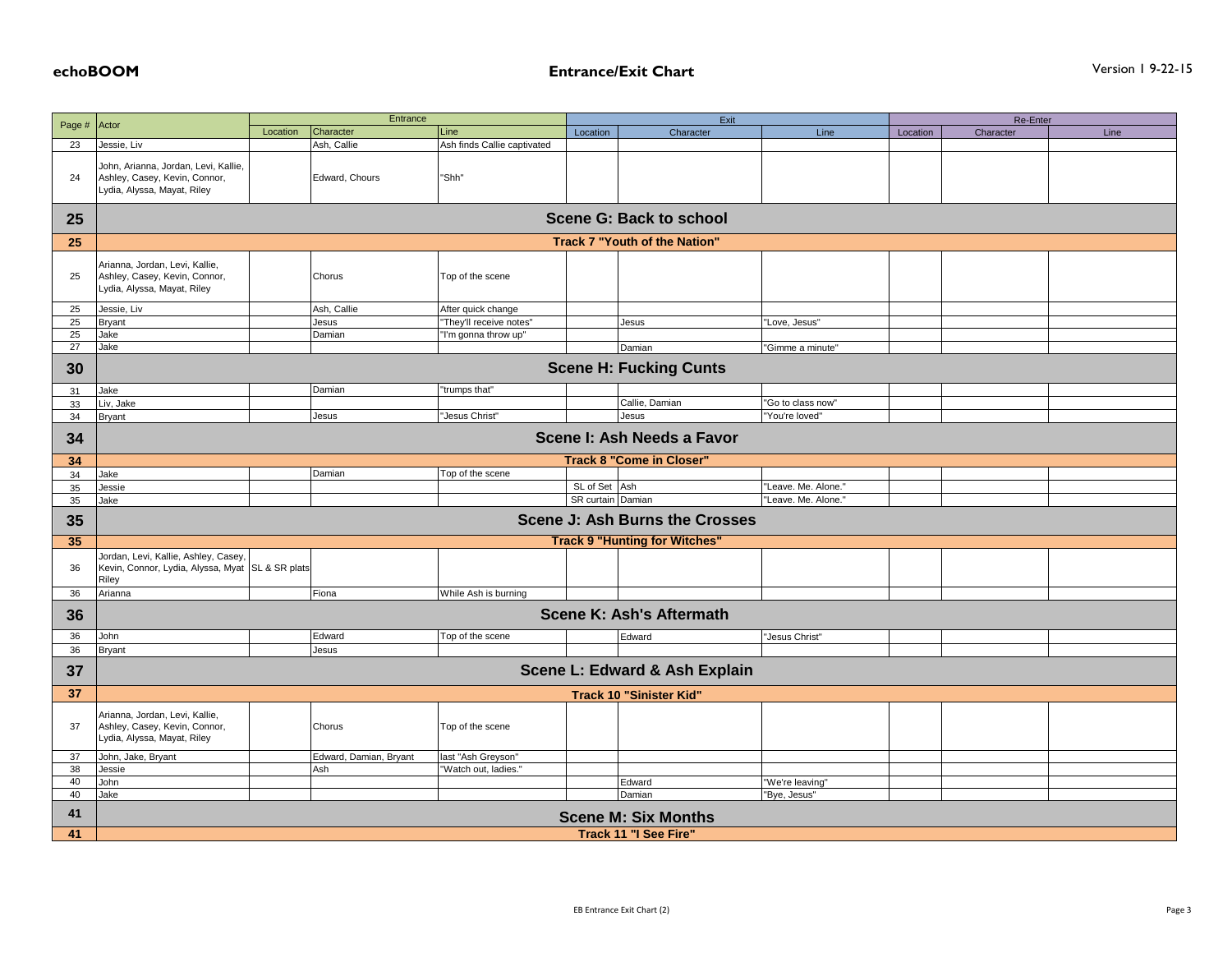## **echoBOOM Entrance/Exit Chart** Version 1 9-22-15

|              |                                                                 | Entrance |                        |                             | Exit              |                                       |                                     | Re-Enter |           |      |  |  |
|--------------|-----------------------------------------------------------------|----------|------------------------|-----------------------------|-------------------|---------------------------------------|-------------------------------------|----------|-----------|------|--|--|
| Page # Actor |                                                                 | Location | Character              | Line                        | Location          | Character                             | Line                                | Location | Character | Line |  |  |
| 23           | Jessie, Liv                                                     |          | Ash, Callie            | Ash finds Callie captivated |                   |                                       |                                     |          |           |      |  |  |
|              | John, Arianna, Jordan, Levi, Kallie,                            |          |                        |                             |                   |                                       |                                     |          |           |      |  |  |
| 24           | Ashley, Casey, Kevin, Connor,                                   |          | Edward, Chours         | "Shh"                       |                   |                                       |                                     |          |           |      |  |  |
|              | Lydia, Alyssa, Mayat, Riley                                     |          |                        |                             |                   |                                       |                                     |          |           |      |  |  |
|              |                                                                 |          |                        |                             |                   |                                       |                                     |          |           |      |  |  |
| 25           |                                                                 |          |                        |                             |                   | <b>Scene G: Back to school</b>        |                                     |          |           |      |  |  |
| 25           | Track 7 "Youth of the Nation"                                   |          |                        |                             |                   |                                       |                                     |          |           |      |  |  |
|              |                                                                 |          |                        |                             |                   |                                       |                                     |          |           |      |  |  |
| 25           | Arianna, Jordan, Levi, Kallie,<br>Ashley, Casey, Kevin, Connor, |          | Chorus                 | Top of the scene            |                   |                                       |                                     |          |           |      |  |  |
|              | Lydia, Alyssa, Mayat, Riley                                     |          |                        |                             |                   |                                       |                                     |          |           |      |  |  |
| 25           | Jessie, Liv                                                     |          | Ash, Callie            | After quick change          |                   |                                       |                                     |          |           |      |  |  |
| 25           | <b>Bryant</b>                                                   |          | Jesus                  | "They'll receive notes"     |                   | Jesus                                 | "Love, Jesus"                       |          |           |      |  |  |
| 25           | Jake                                                            |          | Damian                 | "I'm gonna throw up"        |                   |                                       |                                     |          |           |      |  |  |
| 27           | Jake                                                            |          |                        |                             |                   | Damian                                | "Gimme a minute"                    |          |           |      |  |  |
| 30           | <b>Scene H: Fucking Cunts</b>                                   |          |                        |                             |                   |                                       |                                     |          |           |      |  |  |
|              |                                                                 |          |                        |                             |                   |                                       |                                     |          |           |      |  |  |
| 31           | Jake                                                            |          | Damian                 | "trumps that"               |                   | Callie, Damian                        |                                     |          |           |      |  |  |
| 33           | Liv, Jake<br><b>Bryant</b>                                      |          | Jesus                  | "Jesus Christ"              |                   | Jesus                                 | 'Go to class now"<br>'You're loved' |          |           |      |  |  |
| 34           |                                                                 |          |                        |                             |                   |                                       |                                     |          |           |      |  |  |
| 34           |                                                                 |          |                        |                             |                   | Scene I: Ash Needs a Favor            |                                     |          |           |      |  |  |
| 34           |                                                                 |          |                        |                             |                   | <b>Track 8 "Come in Closer"</b>       |                                     |          |           |      |  |  |
| 34           | Jake                                                            |          | Damian                 | Top of the scene            |                   |                                       |                                     |          |           |      |  |  |
| 35           | Jessie                                                          |          |                        |                             | SL of Set Ash     |                                       | "Leave. Me. Alone."                 |          |           |      |  |  |
| 35           | Jake                                                            |          |                        |                             | SR curtain Damian |                                       | 'Leave. Me. Alone.'                 |          |           |      |  |  |
| 35           |                                                                 |          |                        |                             |                   | <b>Scene J: Ash Burns the Crosses</b> |                                     |          |           |      |  |  |
| 35           |                                                                 |          |                        |                             |                   | <b>Track 9 "Hunting for Witches"</b>  |                                     |          |           |      |  |  |
|              | Jordan, Levi, Kallie, Ashley, Casey,                            |          |                        |                             |                   |                                       |                                     |          |           |      |  |  |
| 36           | Kevin, Connor, Lydia, Alyssa, Myat SL & SR plats                |          |                        |                             |                   |                                       |                                     |          |           |      |  |  |
|              | Riley                                                           |          |                        | While Ash is burning        |                   |                                       |                                     |          |           |      |  |  |
| 36           | Arianna                                                         |          | Fiona                  |                             |                   |                                       |                                     |          |           |      |  |  |
| 36           |                                                                 |          |                        |                             |                   | <b>Scene K: Ash's Aftermath</b>       |                                     |          |           |      |  |  |
| 36           | John                                                            |          | Edward                 | Top of the scene            |                   | Edward                                | 'Jesus Christ"                      |          |           |      |  |  |
| 36           | <b>Bryant</b>                                                   |          | Jesus                  |                             |                   |                                       |                                     |          |           |      |  |  |
| 37           | Scene L: Edward & Ash Explain                                   |          |                        |                             |                   |                                       |                                     |          |           |      |  |  |
| 37           |                                                                 |          |                        |                             |                   | <b>Track 10 "Sinister Kid"</b>        |                                     |          |           |      |  |  |
|              | Arianna, Jordan, Levi, Kallie,                                  |          |                        |                             |                   |                                       |                                     |          |           |      |  |  |
| 37           | Ashley, Casey, Kevin, Connor,                                   |          | Chorus                 | Top of the scene            |                   |                                       |                                     |          |           |      |  |  |
|              | Lydia, Alyssa, Mayat, Riley                                     |          |                        |                             |                   |                                       |                                     |          |           |      |  |  |
| 37           | John, Jake, Bryant                                              |          | Edward, Damian, Bryant | last "Ash Greyson'          |                   |                                       |                                     |          |           |      |  |  |
| 38           | Jessie                                                          |          | Ash                    | "Watch out, ladies.         |                   |                                       |                                     |          |           |      |  |  |
| 40           | John                                                            |          |                        |                             |                   | Edward                                | "We're leaving"                     |          |           |      |  |  |
| 40           | Jake                                                            |          |                        |                             |                   | Damian                                | "Bye, Jesus"                        |          |           |      |  |  |
| 41           |                                                                 |          |                        |                             |                   | <b>Scene M: Six Months</b>            |                                     |          |           |      |  |  |
| 41           | <b>Track 11 "I See Fire"</b>                                    |          |                        |                             |                   |                                       |                                     |          |           |      |  |  |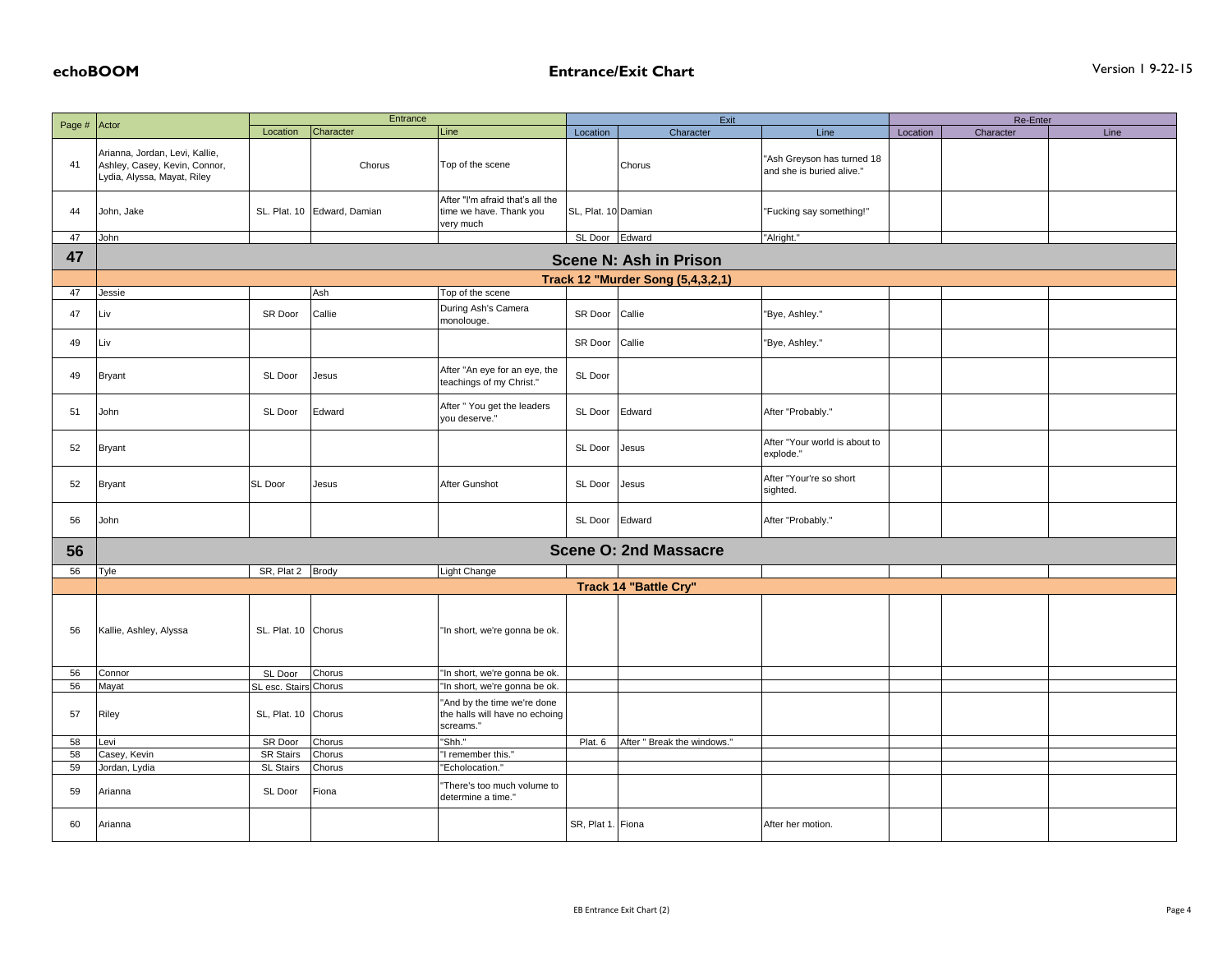|              | Entrance                                                                                       |                             |                             | Exit                                                                       |                     |                                          |                                                         | Re-Enter |           |      |
|--------------|------------------------------------------------------------------------------------------------|-----------------------------|-----------------------------|----------------------------------------------------------------------------|---------------------|------------------------------------------|---------------------------------------------------------|----------|-----------|------|
| Page # Actor |                                                                                                | Location                    | Character                   | Line                                                                       | Location            | Character                                | Line                                                    | Location | Character | Line |
| 41           | Arianna, Jordan, Levi, Kallie,<br>Ashley, Casey, Kevin, Connor,<br>Lydia, Alyssa, Mayat, Riley |                             | Chorus                      | Top of the scene                                                           |                     | Chorus                                   | "Ash Greyson has turned 18<br>and she is buried alive." |          |           |      |
| 44           | John, Jake                                                                                     |                             | SL. Plat. 10 Edward, Damian | After "I'm afraid that's all the<br>time we have. Thank you<br>very much   | SL, Plat. 10 Damian |                                          | "Fucking say something!"                                |          |           |      |
| 47           | John                                                                                           |                             |                             |                                                                            | SL Door Edward      |                                          | "Alright."                                              |          |           |      |
| 47           |                                                                                                |                             |                             |                                                                            |                     | <b>Scene N: Ash in Prison</b>            |                                                         |          |           |      |
|              |                                                                                                |                             |                             |                                                                            |                     | <b>Track 12 "Murder Song (5,4,3,2,1)</b> |                                                         |          |           |      |
| 47           | Jessie                                                                                         |                             | Ash                         | Top of the scene                                                           |                     |                                          |                                                         |          |           |      |
| 47           | Liv                                                                                            | SR Door                     | Callie                      | During Ash's Camera<br>monolouge.                                          | SR Door             | Callie                                   | "Bye, Ashley."                                          |          |           |      |
| 49           | Liv                                                                                            |                             |                             |                                                                            | SR Door             | Callie                                   | "Bye, Ashley."                                          |          |           |      |
| 49           | <b>Bryant</b>                                                                                  | SL Door                     | Jesus                       | After "An eye for an eye, the<br>teachings of my Christ."                  | SL Door             |                                          |                                                         |          |           |      |
| 51           | John                                                                                           | SL Door                     | Edward                      | After " You get the leaders<br>you deserve."                               | SL Door             | Edward                                   | After "Probably."                                       |          |           |      |
| 52           | <b>Bryant</b>                                                                                  |                             |                             |                                                                            | SL Door             | Jesus                                    | After "Your world is about to<br>explode."              |          |           |      |
| 52           | <b>Bryant</b>                                                                                  | SL Door                     | Jesus                       | After Gunshot                                                              | SL Door             | Jesus                                    | After "Your're so short<br>sighted.                     |          |           |      |
| 56           | John                                                                                           |                             |                             |                                                                            | SL Door             | Edward                                   | After "Probably."                                       |          |           |      |
| 56           |                                                                                                |                             |                             |                                                                            |                     | <b>Scene O: 2nd Massacre</b>             |                                                         |          |           |      |
| 56           | Tyle                                                                                           | SR, Plat 2 Brody            |                             | Light Change                                                               |                     |                                          |                                                         |          |           |      |
|              |                                                                                                |                             |                             |                                                                            |                     | Track 14 "Battle Cry"                    |                                                         |          |           |      |
|              |                                                                                                |                             |                             |                                                                            |                     |                                          |                                                         |          |           |      |
| 56           | Kallie, Ashley, Alyssa                                                                         | SL. Plat. 10 Chorus         |                             | "In short, we're gonna be ok.                                              |                     |                                          |                                                         |          |           |      |
| 56           | Connor                                                                                         | SL Door                     | Chorus                      | "In short, we're gonna be ok.                                              |                     |                                          |                                                         |          |           |      |
| 56           | Mayat                                                                                          | SL esc. Stairs Chorus       |                             | "In short, we're gonna be ok.                                              |                     |                                          |                                                         |          |           |      |
| 57           | Riley                                                                                          | SL, Plat. 10 Chorus         |                             | "And by the time we're done<br>the halls will have no echoing<br>screams." |                     |                                          |                                                         |          |           |      |
| 58           | Levi                                                                                           | SR Door                     | Chorus                      | "Shh."                                                                     | Plat. 6             | After " Break the windows."              |                                                         |          |           |      |
| 58           | Casey, Kevin                                                                                   | <b>SR Stairs</b>            | Chorus                      | "I remember this."                                                         |                     |                                          |                                                         |          |           |      |
| 59<br>59     | Jordan, Lydia<br>Arianna                                                                       | <b>SL Stairs</b><br>SL Door | Chorus<br>Fiona             | "Echolocation."<br>"There's too much volume to                             |                     |                                          |                                                         |          |           |      |
|              |                                                                                                |                             |                             | determine a time."                                                         |                     |                                          |                                                         |          |           |      |
| 60           | Arianna                                                                                        |                             |                             |                                                                            | SR, Plat 1. Fiona   |                                          | After her motion.                                       |          |           |      |